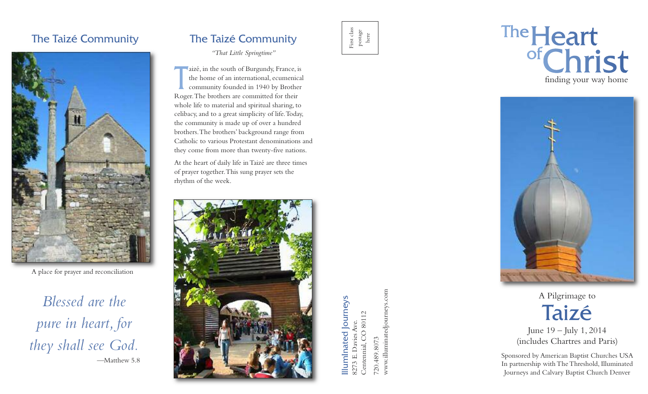# The Taizé Community



A place for prayer and reconciliation

*Blessed are the pure in heart, for they shall see God.* —Matthew 5.8

# The Taizé Community

#### *"That Little Springtime"*

**T** aizé, in the south of Burgundy, France, is the home of an international, ecumenical community founded in 1940 by Brother Roger.The brothers are committed for their whole life to material and spiritual sharing, to celibacy,and to a great simplicity of life.Today, the community is made up of over a hundred brothers.The brothers' background range from Catholic to various Protestant denominations and they come from more than twenty-five nations.

At the heart of daily life inTaizé are three times of prayer together.This sung prayer sets the rhythm of the week.



 $\Xi$ mIn ate d Jo urn ey s 8273 E. Davies Ave. Centen nial, C O 80112

First class postage here

> 720.489.8073 0.489.8073 ww w.illu minatedjo urneys.co m

# The Heart<br>of Christ finding your way home



A Pilgrimage to Taizé June 19 – July 1, 2014

(includes Chartres and Paris)

Sponsored by American Baptist Churches USA In partnership withTheThreshold, Illuminated Journeys and Calvary Baptist Church Denver